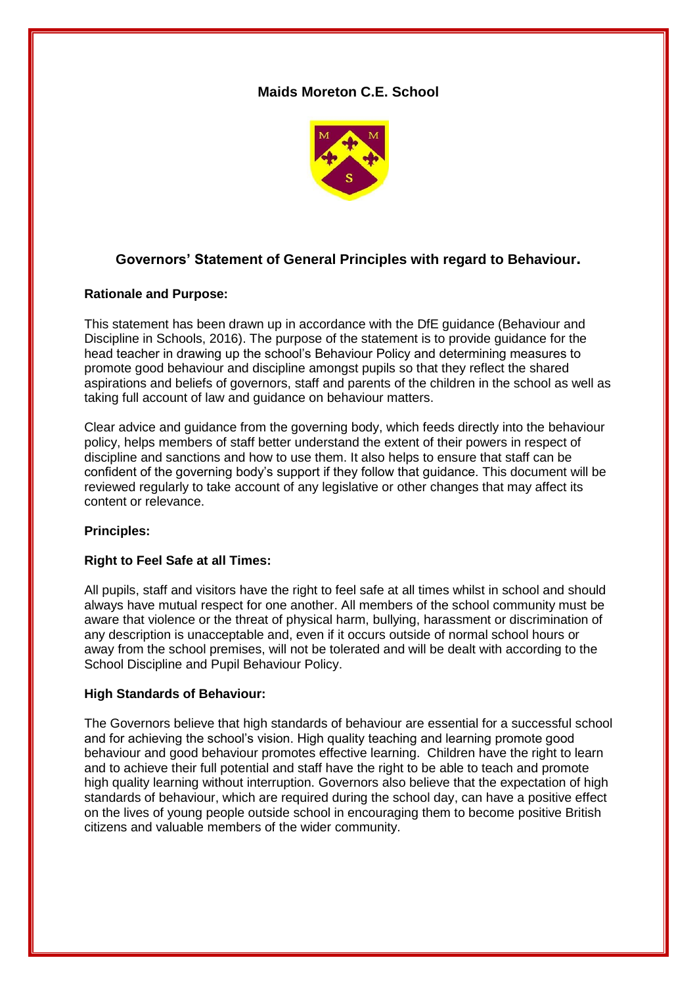# **Maids Moreton C.E. School**



# **Governors' Statement of General Principles with regard to Behaviour.**

# **Rationale and Purpose:**

This statement has been drawn up in accordance with the DfE guidance (Behaviour and Discipline in Schools, 2016). The purpose of the statement is to provide guidance for the head teacher in drawing up the school's Behaviour Policy and determining measures to promote good behaviour and discipline amongst pupils so that they reflect the shared aspirations and beliefs of governors, staff and parents of the children in the school as well as taking full account of law and guidance on behaviour matters.

Clear advice and guidance from the governing body, which feeds directly into the behaviour policy, helps members of staff better understand the extent of their powers in respect of discipline and sanctions and how to use them. It also helps to ensure that staff can be confident of the governing body's support if they follow that guidance. This document will be reviewed regularly to take account of any legislative or other changes that may affect its content or relevance.

# **Principles:**

# **Right to Feel Safe at all Times:**

All pupils, staff and visitors have the right to feel safe at all times whilst in school and should always have mutual respect for one another. All members of the school community must be aware that violence or the threat of physical harm, bullying, harassment or discrimination of any description is unacceptable and, even if it occurs outside of normal school hours or away from the school premises, will not be tolerated and will be dealt with according to the School Discipline and Pupil Behaviour Policy.

#### **High Standards of Behaviour:**

The Governors believe that high standards of behaviour are essential for a successful school and for achieving the school's vision. High quality teaching and learning promote good behaviour and good behaviour promotes effective learning. Children have the right to learn and to achieve their full potential and staff have the right to be able to teach and promote high quality learning without interruption. Governors also believe that the expectation of high standards of behaviour, which are required during the school day, can have a positive effect on the lives of young people outside school in encouraging them to become positive British citizens and valuable members of the wider community.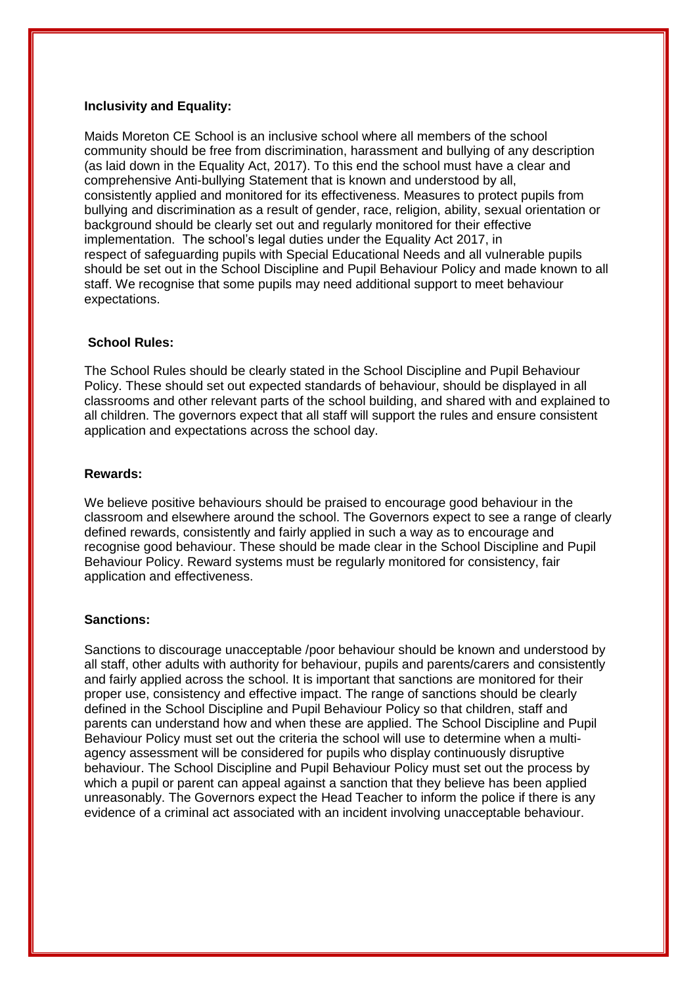### **Inclusivity and Equality:**

Maids Moreton CE School is an inclusive school where all members of the school community should be free from discrimination, harassment and bullying of any description (as laid down in the Equality Act, 2017). To this end the school must have a clear and comprehensive Anti-bullying Statement that is known and understood by all, consistently applied and monitored for its effectiveness. Measures to protect pupils from bullying and discrimination as a result of gender, race, religion, ability, sexual orientation or background should be clearly set out and regularly monitored for their effective implementation. The school's legal duties under the Equality Act 2017, in respect of safeguarding pupils with Special Educational Needs and all vulnerable pupils should be set out in the School Discipline and Pupil Behaviour Policy and made known to all staff. We recognise that some pupils may need additional support to meet behaviour expectations.

### **School Rules:**

The School Rules should be clearly stated in the School Discipline and Pupil Behaviour Policy. These should set out expected standards of behaviour, should be displayed in all classrooms and other relevant parts of the school building, and shared with and explained to all children. The governors expect that all staff will support the rules and ensure consistent application and expectations across the school day.

#### **Rewards:**

We believe positive behaviours should be praised to encourage good behaviour in the classroom and elsewhere around the school. The Governors expect to see a range of clearly defined rewards, consistently and fairly applied in such a way as to encourage and recognise good behaviour. These should be made clear in the School Discipline and Pupil Behaviour Policy. Reward systems must be regularly monitored for consistency, fair application and effectiveness.

#### **Sanctions:**

Sanctions to discourage unacceptable /poor behaviour should be known and understood by all staff, other adults with authority for behaviour, pupils and parents/carers and consistently and fairly applied across the school. It is important that sanctions are monitored for their proper use, consistency and effective impact. The range of sanctions should be clearly defined in the School Discipline and Pupil Behaviour Policy so that children, staff and parents can understand how and when these are applied. The School Discipline and Pupil Behaviour Policy must set out the criteria the school will use to determine when a multiagency assessment will be considered for pupils who display continuously disruptive behaviour. The School Discipline and Pupil Behaviour Policy must set out the process by which a pupil or parent can appeal against a sanction that they believe has been applied unreasonably. The Governors expect the Head Teacher to inform the police if there is any evidence of a criminal act associated with an incident involving unacceptable behaviour.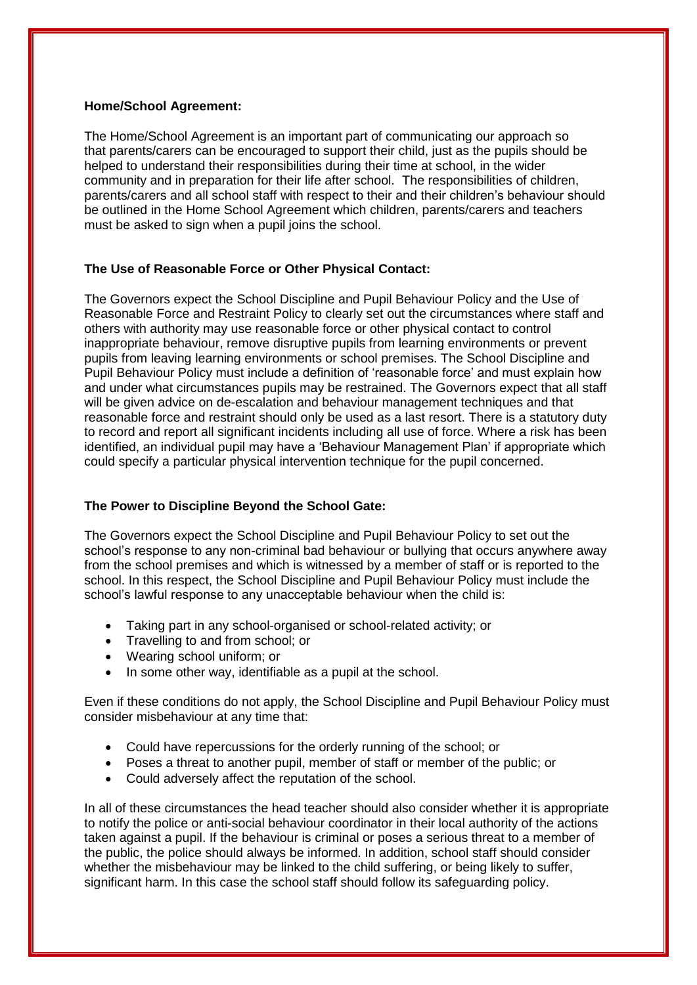### **Home/School Agreement:**

The Home/School Agreement is an important part of communicating our approach so that parents/carers can be encouraged to support their child, just as the pupils should be helped to understand their responsibilities during their time at school, in the wider community and in preparation for their life after school. The responsibilities of children, parents/carers and all school staff with respect to their and their children's behaviour should be outlined in the Home School Agreement which children, parents/carers and teachers must be asked to sign when a pupil joins the school.

# **The Use of Reasonable Force or Other Physical Contact:**

The Governors expect the School Discipline and Pupil Behaviour Policy and the Use of Reasonable Force and Restraint Policy to clearly set out the circumstances where staff and others with authority may use reasonable force or other physical contact to control inappropriate behaviour, remove disruptive pupils from learning environments or prevent pupils from leaving learning environments or school premises. The School Discipline and Pupil Behaviour Policy must include a definition of 'reasonable force' and must explain how and under what circumstances pupils may be restrained. The Governors expect that all staff will be given advice on de-escalation and behaviour management techniques and that reasonable force and restraint should only be used as a last resort. There is a statutory duty to record and report all significant incidents including all use of force. Where a risk has been identified, an individual pupil may have a 'Behaviour Management Plan' if appropriate which could specify a particular physical intervention technique for the pupil concerned.

# **The Power to Discipline Beyond the School Gate:**

The Governors expect the School Discipline and Pupil Behaviour Policy to set out the school's response to any non-criminal bad behaviour or bullying that occurs anywhere away from the school premises and which is witnessed by a member of staff or is reported to the school. In this respect, the School Discipline and Pupil Behaviour Policy must include the school's lawful response to any unacceptable behaviour when the child is:

- Taking part in any school-organised or school-related activity; or
- Travelling to and from school; or
- Wearing school uniform; or
- In some other way, identifiable as a pupil at the school.

Even if these conditions do not apply, the School Discipline and Pupil Behaviour Policy must consider misbehaviour at any time that:

- Could have repercussions for the orderly running of the school; or
- Poses a threat to another pupil, member of staff or member of the public; or
- Could adversely affect the reputation of the school.

In all of these circumstances the head teacher should also consider whether it is appropriate to notify the police or anti-social behaviour coordinator in their local authority of the actions taken against a pupil. If the behaviour is criminal or poses a serious threat to a member of the public, the police should always be informed. In addition, school staff should consider whether the misbehaviour may be linked to the child suffering, or being likely to suffer, significant harm. In this case the school staff should follow its safeguarding policy.